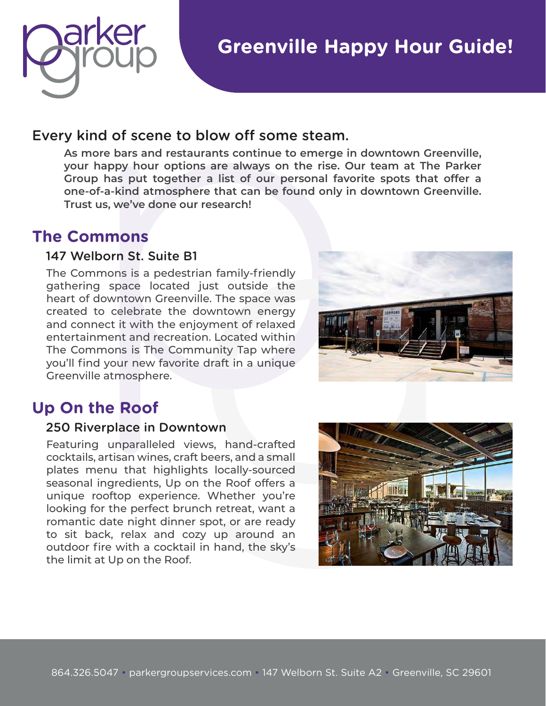

## **Greenville Happy Hour Guide!**

### Every kind of scene to blow off some steam.

**As more bars and restaurants continue to emerge in downtown Greenville, your happy hour options are always on the rise. Our team at The Parker Group has put together a list of our personal favorite spots that offer a one-of-a-kind atmosphere that can be found only in downtown Greenville. Trust us, we've done our research!**

## **The Commons**

### 147 Welborn St. Suite B1

The Commons is a pedestrian family-friendly gathering space located just outside the heart of downtown Greenville. The space was created to celebrate the downtown energy and connect it with the enjoyment of relaxed entertainment and recreation. Located within The Commons is The Community Tap where you'll find your new favorite draft in a unique Greenville atmosphere.



## **Up On the Roof**

#### 250 Riverplace in Downtown

Featuring unparalleled views, hand-crafted cocktails, artisan wines, craft beers, and a small plates menu that highlights locally-sourced seasonal ingredients, Up on the Roof offers a unique rooftop experience. Whether you're looking for the perfect brunch retreat, want a romantic date night dinner spot, or are ready to sit back, relax and cozy up around an outdoor fire with a cocktail in hand, the sky's the limit at Up on the Roof.

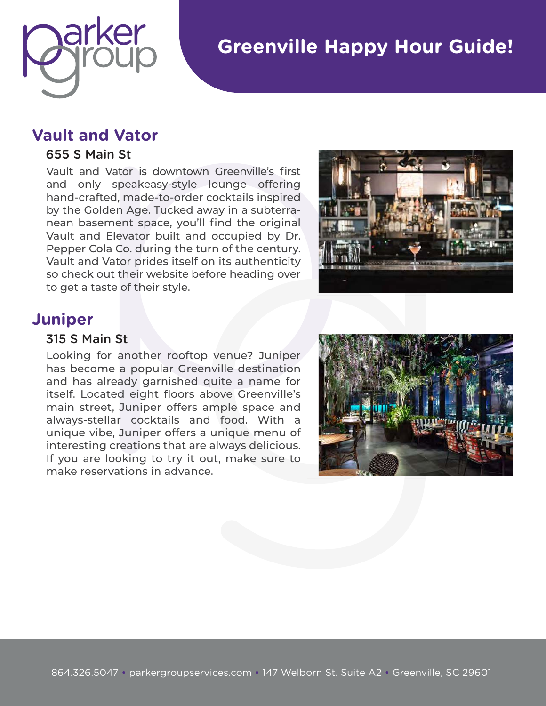

# **Greenville Happy Hour Guide!**

### **Vault and Vator**

#### 655 S Main St

Vault and Vator is downtown Greenville's first and only speakeasy-style lounge offering hand-crafted, made-to-order cocktails inspired by the Golden Age. Tucked away in a subterranean basement space, you'll find the original Vault and Elevator built and occupied by Dr. Pepper Cola Co. during the turn of the century. Vault and Vator prides itself on its authenticity so check out their website before heading over to get a taste of their style.



## **Juniper**

#### 315 S Main St

Looking for another rooftop venue? Juniper has become a popular Greenville destination and has already garnished quite a name for itself. Located eight floors above Greenville's main street, Juniper offers ample space and always-stellar cocktails and food. With a unique vibe, Juniper offers a unique menu of interesting creations that are always delicious. If you are looking to try it out, make sure to make reservations in advance.